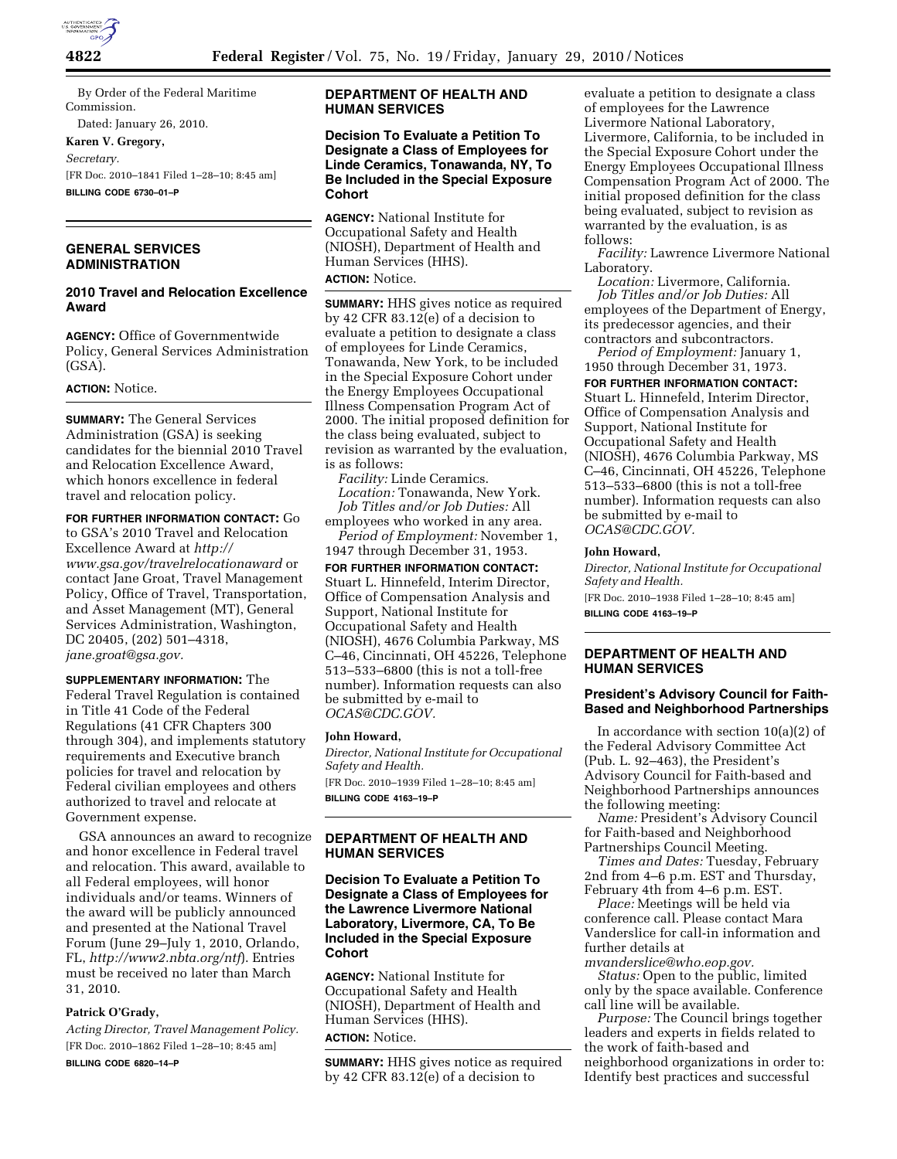

By Order of the Federal Maritime Commission.

Dated: January 26, 2010.

**Karen V. Gregory,** 

*Secretary.* 

[FR Doc. 2010–1841 Filed 1–28–10; 8:45 am]

**BILLING CODE 6730–01–P** 

## **GENERAL SERVICES ADMINISTRATION**

## **2010 Travel and Relocation Excellence Award**

**AGENCY:** Office of Governmentwide Policy, General Services Administration (GSA).

#### **ACTION:** Notice.

**SUMMARY:** The General Services Administration (GSA) is seeking candidates for the biennial 2010 Travel and Relocation Excellence Award, which honors excellence in federal travel and relocation policy.

**FOR FURTHER INFORMATION CONTACT:** Go to GSA's 2010 Travel and Relocation Excellence Award at *http:// www.gsa.gov/travelrelocationaward* or contact Jane Groat, Travel Management Policy, Office of Travel, Transportation, and Asset Management (MT), General Services Administration, Washington, DC 20405, (202) 501–4318, *jane.groat@gsa.gov.* 

**SUPPLEMENTARY INFORMATION:** The Federal Travel Regulation is contained in Title 41 Code of the Federal Regulations (41 CFR Chapters 300 through 304), and implements statutory requirements and Executive branch policies for travel and relocation by Federal civilian employees and others authorized to travel and relocate at Government expense.

GSA announces an award to recognize and honor excellence in Federal travel and relocation. This award, available to all Federal employees, will honor individuals and/or teams. Winners of the award will be publicly announced and presented at the National Travel Forum (June 29–July 1, 2010, Orlando, FL, *http://www2.nbta.org/ntf*). Entries must be received no later than March 31, 2010.

#### **Patrick O'Grady,**

*Acting Director, Travel Management Policy.*  [FR Doc. 2010–1862 Filed 1–28–10; 8:45 am]

**BILLING CODE 6820–14–P** 

# **DEPARTMENT OF HEALTH AND HUMAN SERVICES**

## **Decision To Evaluate a Petition To Designate a Class of Employees for Linde Ceramics, Tonawanda, NY, To Be Included in the Special Exposure Cohort**

**AGENCY:** National Institute for Occupational Safety and Health (NIOSH), Department of Health and Human Services (HHS).

**ACTION:** Notice.

**SUMMARY:** HHS gives notice as required by 42 CFR 83.12(e) of a decision to evaluate a petition to designate a class of employees for Linde Ceramics, Tonawanda, New York, to be included in the Special Exposure Cohort under the Energy Employees Occupational Illness Compensation Program Act of 2000. The initial proposed definition for the class being evaluated, subject to revision as warranted by the evaluation, is as follows:

*Facility:* Linde Ceramics. *Location:* Tonawanda, New York. *Job Titles and/or Job Duties:* All employees who worked in any area.

*Period of Employment:* November 1, 1947 through December 31, 1953.

**FOR FURTHER INFORMATION CONTACT:**  Stuart L. Hinnefeld, Interim Director, Office of Compensation Analysis and Support, National Institute for Occupational Safety and Health (NIOSH), 4676 Columbia Parkway, MS C–46, Cincinnati, OH 45226, Telephone 513–533–6800 (this is not a toll-free number). Information requests can also be submitted by e-mail to *OCAS@CDC.GOV.* 

#### **John Howard,**

*Director, National Institute for Occupational Safety and Health.* 

[FR Doc. 2010–1939 Filed 1–28–10; 8:45 am] **BILLING CODE 4163–19–P** 

## **DEPARTMENT OF HEALTH AND HUMAN SERVICES**

## **Decision To Evaluate a Petition To Designate a Class of Employees for the Lawrence Livermore National Laboratory, Livermore, CA, To Be Included in the Special Exposure Cohort**

**AGENCY:** National Institute for Occupational Safety and Health (NIOSH), Department of Health and Human Services (HHS). **ACTION:** Notice.

**SUMMARY:** HHS gives notice as required by 42 CFR 83.12(e) of a decision to

evaluate a petition to designate a class of employees for the Lawrence Livermore National Laboratory, Livermore, California, to be included in the Special Exposure Cohort under the Energy Employees Occupational Illness Compensation Program Act of 2000. The initial proposed definition for the class being evaluated, subject to revision as warranted by the evaluation, is as follows:

*Facility:* Lawrence Livermore National Laboratory.

*Location:* Livermore, California. *Job Titles and/or Job Duties:* All employees of the Department of Energy, its predecessor agencies, and their contractors and subcontractors.

*Period of Employment:* January 1, 1950 through December 31, 1973.

**FOR FURTHER INFORMATION CONTACT:**  Stuart L. Hinnefeld, Interim Director, Office of Compensation Analysis and Support, National Institute for Occupational Safety and Health (NIOSH), 4676 Columbia Parkway, MS C–46, Cincinnati, OH 45226, Telephone 513–533–6800 (this is not a toll-free number). Information requests can also be submitted by e-mail to *OCAS@CDC.GOV.* 

#### **John Howard,**

*Director, National Institute for Occupational Safety and Health.* 

[FR Doc. 2010–1938 Filed 1–28–10; 8:45 am] **BILLING CODE 4163–19–P** 

## **DEPARTMENT OF HEALTH AND HUMAN SERVICES**

### **President's Advisory Council for Faith-Based and Neighborhood Partnerships**

In accordance with section 10(a)(2) of the Federal Advisory Committee Act (Pub. L. 92–463), the President's Advisory Council for Faith-based and Neighborhood Partnerships announces the following meeting:

*Name:* President's Advisory Council for Faith-based and Neighborhood Partnerships Council Meeting.

*Times and Dates:* Tuesday, February 2nd from 4–6 p.m. EST and Thursday, February 4th from 4–6 p.m. EST.

*Place:* Meetings will be held via conference call. Please contact Mara Vanderslice for call-in information and further details at *mvanderslice@who.eop.gov.* 

*Status:* Open to the public, limited only by the space available. Conference call line will be available.

*Purpose:* The Council brings together leaders and experts in fields related to the work of faith-based and neighborhood organizations in order to: Identify best practices and successful